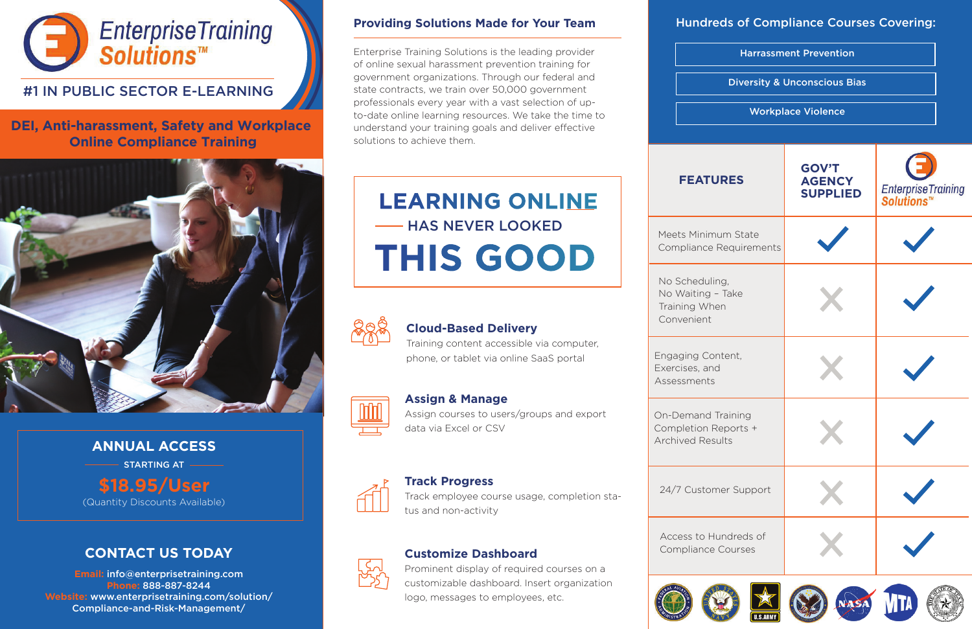

# #1 IN PUBLIC SECTOR E-LEARNING

**DEI, Anti-harassment, Safety and Workplace Online Compliance Training**



### **Providing Solutions Made for Your Team**

Enterprise Training Solutions is the leading provider of online sexual harassment prevention training for government organizations. Through our federal and state contracts, we train over 50,000 government professionals every year with a vast selection of upto-date online learning resources. We take the time to understand your training goals and deliver effective solutions to achieve them.

> No Scheduli No Waiting Training Whe Convenient

Engaging Cor Exercises, and Assessments

On-Demand Completion R **Archived Res** 

24/7 Custon

Access to H Compliance



### **Track Progress**

Track employee course usage, completion status and non-activity



Prominent display of required courses on a customizable dashboard. Insert organization logo, messages to employees, etc.



# **CONTACT US TODAY**

**Email:** info@enterprisetraining.com **Phone:** 888-887-8244 **Website:** www.enterprisetraining.com/solution/ Compliance-and-Risk-Management/

# **Assign & Manage**

Assign courses to users/groups and export data via Excel or CSV

| <b>Harrassment Prevention</b><br><b>Diversity &amp; Unconscious Bias</b><br><b>Workplace Violence</b> |  |  |             |                                                  |                                  |
|-------------------------------------------------------------------------------------------------------|--|--|-------------|--------------------------------------------------|----------------------------------|
|                                                                                                       |  |  |             |                                                  |                                  |
|                                                                                                       |  |  | <b>JRES</b> | <b>GOV'T</b><br><b>AGENCY</b><br><b>SUPPLIED</b> | EnterpriseTraining<br>Solutions™ |
| um State<br>Requirements                                                                              |  |  |             |                                                  |                                  |
| ng,<br>- Take<br>en                                                                                   |  |  |             |                                                  |                                  |
| ntent,<br>J                                                                                           |  |  |             |                                                  |                                  |
| Training<br>eports +<br>ults                                                                          |  |  |             |                                                  |                                  |
| ner Support                                                                                           |  |  |             |                                                  |                                  |
| undreds of<br>Courses                                                                                 |  |  |             |                                                  |                                  |
|                                                                                                       |  |  |             |                                                  |                                  |















# Hundreds of Compliance Courses Covering:



# **FEATU**

Meets Minim Compliance

### **Cloud-Based Delivery**

Training content accessible via computer, phone, or tablet via online SaaS portal